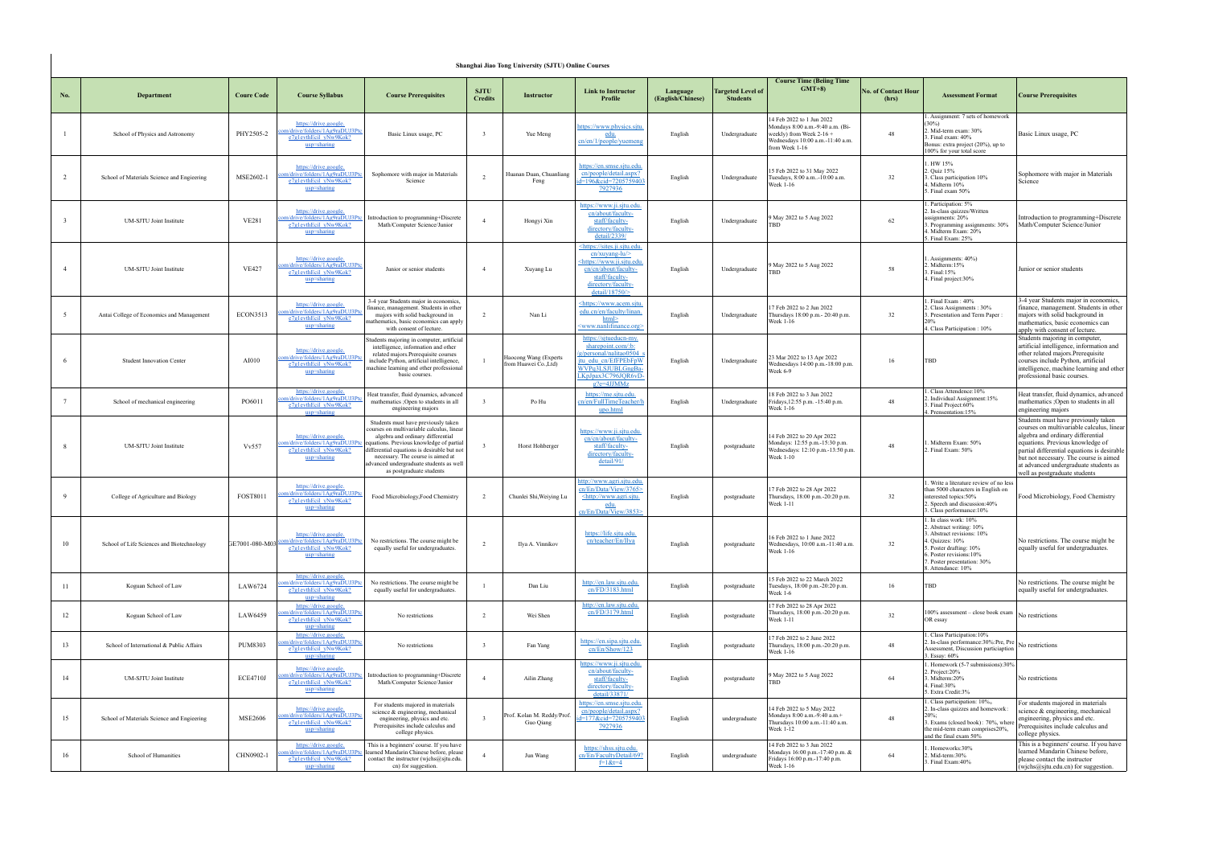|                 | Shanghai Jiao Tong University (SJTU) Online Courses |                   |                                                                                                    |                                                                                                                                                                                                                                                                                                                              |                               |                                                |                                                                                                                                                              |                               |                                             |                                                                                                                                                   |                                     |                                                                                                                                                                                                              |                                                                                                                                                                                                                                                                                                                              |
|-----------------|-----------------------------------------------------|-------------------|----------------------------------------------------------------------------------------------------|------------------------------------------------------------------------------------------------------------------------------------------------------------------------------------------------------------------------------------------------------------------------------------------------------------------------------|-------------------------------|------------------------------------------------|--------------------------------------------------------------------------------------------------------------------------------------------------------------|-------------------------------|---------------------------------------------|---------------------------------------------------------------------------------------------------------------------------------------------------|-------------------------------------|--------------------------------------------------------------------------------------------------------------------------------------------------------------------------------------------------------------|------------------------------------------------------------------------------------------------------------------------------------------------------------------------------------------------------------------------------------------------------------------------------------------------------------------------------|
| No.             | Department                                          | <b>Coure Code</b> | <b>Course Syllabus</b>                                                                             | <b>Course Prerequisites</b>                                                                                                                                                                                                                                                                                                  | <b>SJTU</b><br><b>Credits</b> | <b>Instructor</b>                              | <b>Link to Instructor</b><br>Profile                                                                                                                         | Language<br>(English/Chinese) | <b>Targeted Level of</b><br><b>Students</b> | <b>Course Time (Beiing Time)</b><br>$GMT+8$                                                                                                       | <b>No. of Contact Hour</b><br>(hrs) | <b>Assessment Format</b>                                                                                                                                                                                     | <b>Course Prerequisites</b>                                                                                                                                                                                                                                                                                                  |
|                 | School of Physics and Astronomy                     | PHY2505-2         | https://drive.google.<br>n/drive/folders/1Ag9raDUJ3Pto<br>e7g1evthEcil yNw9Kok?<br>usp=sharing     | Basic Linux usage, PC                                                                                                                                                                                                                                                                                                        | $\overline{\mathbf{3}}$       | Yue Meng                                       | ittps://www.physics.situ<br>edu.<br>cn/en/1/people/yuemeng                                                                                                   | English                       | Undergraduate                               | 14 Feb 2022 to 1 Jun 2022<br>Mondays 8:00 a.m.-9:40 a.m. (Bi-<br>weekly) from Week $2-16 +$<br>Wednesdays 10:00 a.m.-11:40 a.m.<br>from Week 1-16 | 48                                  | Assignment: 7 sets of homework<br>(30%)<br>2. Mid-term exam: 30%<br>3. Final exam: 40%<br>Bonus: extra project (20%), up to<br>100% for your total score                                                     | Basic Linux usage, PC                                                                                                                                                                                                                                                                                                        |
| $\mathcal{L}$   | School of Materials Science and Engieering          | MSE2602-1         | https://drive.google.<br>n/drive/folders/1Ag9raDUJ3Pt<br>e7g1evthEcil yNw9Kok?<br>usp=sharing      | Sophomore with major in Materials<br>Science                                                                                                                                                                                                                                                                                 | $\overline{2}$                | Huanan Duan, Chuanliang<br>Feng                | https://en.smse.sjtu.edu.<br>cn/people/detail.aspx?<br>d=196&cid=720575940<br>7927936                                                                        | English                       | Undergraduate                               | 15 Feb 2022 to 31 May 2022<br>Tuesdays, 8:00 a.m-10:00 a.m.<br>Week 1-16                                                                          | 32                                  | 1. HW 15%<br>2. Quiz 15%<br>. Class participation 10%<br>L. Midterm 10%<br>5. Final exam 50%                                                                                                                 | Sophomore with major in Materials<br>Science                                                                                                                                                                                                                                                                                 |
|                 | <b>UM-SJTU Joint Institute</b>                      | <b>VE281</b>      | https://drive.google.<br>m/drive/folders/1Ag9raDUJ3Pt<br>e7g1evthEcil yNw9Kok?<br>usp=sharing      | Introduction to programming+Discrete<br>Math/Computer Science/Junior                                                                                                                                                                                                                                                         | $\overline{4}$                | Hongyi Xin                                     | https://www.ji.sjtu.edu.<br>cn/about/faculty-<br>staff/faculty-<br>directory/faculty-<br>detail/2339/                                                        | English                       | Undergraduate                               | 9 May 2022 to 5 Aug 2022                                                                                                                          | 62                                  | . Participation: 5%<br>2. In-class quizzes/Written<br>assignments: 20%<br>3. Programming assignments: 30%<br>4. Midterm Exam: 20%<br>Final Exam: 25%                                                         | Introduction to programming+Discrete<br>Math/Computer Science/Junior                                                                                                                                                                                                                                                         |
|                 | <b>UM-SJTU Joint Institute</b>                      | <b>VE427</b>      | https://drive.google.<br>m/drive/folders/1Ag9raDUJ3Ptc<br>e7g1evthEcil yNw9Kok?<br>usp=sharing     | Junior or senior students                                                                                                                                                                                                                                                                                                    | $\overline{4}$                | Xuyang Lu                                      | https://sites.ji.sjtu.edu.<br>$cn/xuyang-lu$<br>https://www.ji.sjtu.edu<br>cn/cn/about/faculty-<br>staff/faculty-<br>directory/faculty-<br>detail/18750/ $>$ | English                       | Undergraduate                               | 9 May 2022 to 5 Aug 2022<br><b>TRD</b>                                                                                                            | 58                                  | . Assignments: 40%)<br>2. Midterm: 15%<br>3. Final:15%<br>4. Final project: 30%                                                                                                                              | Junior or senior students                                                                                                                                                                                                                                                                                                    |
| $\sim$          | Antai College of Economics and Management           | <b>ECON3513</b>   | https://drive.google.<br>n/drive/folders/1Ag9raDUJ3P<br>e7g1evthEcil yNw9Kok?<br>usp=sharing       | 3-4 year Students major in economics,<br>finance, management. Students in other<br>majors with solid background in<br>mathematics, basic economics can apply<br>with consent of lecture.                                                                                                                                     | 2                             | Nan Li                                         | https://www.acem.sjtu<br>edu.cn/en/faculty/linan.<br>html><br>www.nanlifinance.org>                                                                          | English                       | Undergraduate                               | 7 Feb 2022 to 2 Jun 2022<br>Thursdays 18:00 p.m. - 20:40 p.m.<br>Week 1-16                                                                        | 32                                  | . Final Exam: 40%<br>2. Class Assignments: 30%<br>3. Presentation and Term Paper :<br>4. Class Participation: 10%                                                                                            | 3-4 year Students major in economics,<br>finance, management. Students in other<br>majors with solid background in<br>mathematics, basic economics can<br>apply with consent of lecture.                                                                                                                                     |
|                 | <b>Student Innovation Center</b>                    | AI010             | https://drive.google.<br>m/drive/folders/1Ag9raDUJ3F<br>e7g1evthEcil yNw9Kok?<br>usp=sharing       | Students majoring in computer, artificial<br>intelligence, information and other<br>related majors.Prerequisite courses<br>include Python, artificial intelligence,<br>machine learning and other professional<br>basic courses.                                                                                             |                               | Haocong Wang (Experts<br>from Huawei Co., Ltd) | https://sjtueducn-my.<br>sharepoint.com/:b:<br>g/personal/nalitao0504<br>tu edu cn/EfFPEbFpW<br>WVPq3LSJUBLGngBa<br>KpJpax3C796JQR6vD-<br>$g$ ?e=4JJMMz      | English                       | Undergraduate                               | 23 Mar 2022 to 13 Apr 2022<br>Wednesdays 14:00 p.m.-18:00 p.m.<br>Week 6-9                                                                        | 16                                  | TBD                                                                                                                                                                                                          | Students majoring in computer,<br>artificial intelligence, information and<br>other related majors. Prerequisite<br>courses include Python, artificial<br>intelligence, machine learning and other<br>professional basic courses.                                                                                            |
| $7\phantom{.0}$ | School of mechanical engineering                    | PO6011            | https://drive.google.<br>m/drive/folders/1Ag9raDUJ3P<br>e7g1evthEcil yNw9Kok?<br>usp=sharing       | Heat transfer, fluid dynamics, advanced<br>mathematics ; Open to students in all<br>engineering majors                                                                                                                                                                                                                       | $\overline{\mathbf{3}}$       | Po Hu                                          | https://me.sjtu.edu<br>cn/en/FullTimeTeacher/h<br>upo.html                                                                                                   | English                       | Undergraduate                               | 18 Feb 2022 to 3 Jun 2022<br>Fridays, 12:55 p.m. -15:40 p.m.<br>Week 1-16                                                                         | 48                                  | . Class Attendence: 10%<br>. Individual Assignment: 15%<br>. Final Project:60%<br>4. Prensentation: 15%                                                                                                      | Heat transfer, fluid dynamics, advanced<br>nathematics ; Open to students in all<br>engineering majors                                                                                                                                                                                                                       |
|                 | UM-SJTU Joint Institute                             | <b>Vv557</b>      | https://drive.google.<br>om/drive/folders/1Ag9raDUJ3P<br>e7g1evthEcil yNw9Kok?<br>usp=sharing      | Students must have previously taken<br>courses on multivariable calculus, linear<br>algebra and ordinary differential<br>equations. Previous knowledge of partial<br>differential equations is desirable but not<br>necessary. The course is aimed at<br>advanced undergraduate students as well<br>as postgraduate students |                               | Horst Hohberger                                | https://www.ji.sjtu.edu.<br>cn/cn/about/faculty-<br>staff/faculty-<br>directory/faculty-<br>detail/91/                                                       | English                       | postgraduate                                | 14 Feb 2022 to 20 Apr 2022<br>Mondays: 12:55 p.m.-15:30 p.m.<br>Wednesdays: 12:10 p.m.-13:50 p.m.<br>Week 1-10                                    | 48                                  | Midterm Exam: 50%<br>2. Final Exam: 50%                                                                                                                                                                      | Students must have previously taken<br>courses on multivariable calculus, linear<br>algebra and ordinary differential<br>equations. Previous knowledge of<br>partial differential equations is desirable<br>but not necessary. The course is aimed<br>at advanced undergraduate students as<br>well as postgraduate students |
| 9               | College of Agriculture and Biology                  | <b>FOST8011</b>   | https://drive.google.<br>1/drive/folders/1Ag9raDUJ3Pt<br>e7g1evthEcil_yNw9Kok?<br>usp=sharing      | Food Microbiology, Food Chemistry                                                                                                                                                                                                                                                                                            | $\overline{2}$                | Chunlei Shi, Weiying Lu                        | http://www.agri.sjtu.edu<br>cn/En/Data/View/3765><br><u><http: u="" www.agri.sjtu.<=""><br/>edu.<br/>cn/En/Data/View/3853&gt;</http:></u>                    | English                       | postgraduate                                | 7 Feb 2022 to 28 Apr 2022<br>Thursdays, 18:00 p.m.-20:20 p.m.<br>Week 1-11                                                                        | 32                                  | . Write a literature review of no less<br>than 5000 characters in English on<br>interested topics:50%<br>2. Speech and discussion:40%<br>3. Class performance: 10%                                           | Food Microbiology, Food Chemistry                                                                                                                                                                                                                                                                                            |
| 10              | School of Life Sciences and Biotechnology           | GE7001-080-M03    | https://drive.google.<br>drive/folders/1Ag9raDUJ3Pto<br>e7g1evthEcil yNw9Kok?<br>usp=sharing       | No restrictions. The course might be<br>equally useful for undergraduates.                                                                                                                                                                                                                                                   | $\overline{2}$                | Ilya A. Vinnikov                               | https://life.sjtu.edu.<br>cn/teacher/En/Ilya                                                                                                                 | English                       | postgraduate                                | 16 Feb 2022 to 1 June 2022<br>Wednesdays, 10:00 a.m.-11:40 a.m.<br>Week 1-16                                                                      | 32                                  | . In class work: 10%<br>2. Abstract writing: 10%<br>3. Abstract revisions: 10%<br>L Quizzes: 10%<br>5. Poster drafting: 10%<br>S. Poster revisions: 10%<br>7. Poster presentation: 30%<br>3. Attendance: 10% | No restrictions. The course might be<br>equally useful for undergraduates.                                                                                                                                                                                                                                                   |
| 11              | Koguan School of Law                                | LAW6724           | https://drive.google.<br>n/drive/folders/1Ag9raDUJ3Ptc<br>e7g1evthEcil yNw9Kok?<br>usp=sharing     | No restrictions. The course might be<br>equally useful for undergraduates.                                                                                                                                                                                                                                                   | $\mathbf{1}$                  | Dan Liu                                        | <u>http://en.law.sjtu.edu.</u><br>cn/FD/3183.html                                                                                                            | English                       | postgraduate                                | 15 Feb 2022 to 22 March 2022<br>Tuesdays, 18:00 p.m.-20:20 p.m.<br>Week 1-6                                                                       | 16                                  | TBD                                                                                                                                                                                                          | No restrictions. The course might be<br>equally useful for undergraduates.                                                                                                                                                                                                                                                   |
| 12              | Koguan School of Law                                | LAW6459           | https://drive.google.<br>1/drive/folders/1Ag9raDUJ3Pto<br>e7g1evthEcil yNw9Kok?<br>$usp = sharing$ | No restrictions                                                                                                                                                                                                                                                                                                              | 2                             | Wei Shen                                       | http://en.law.sjtu.edu.<br>cn/FD/3179.html                                                                                                                   | English                       | postgraduate                                | 17 Feb 2022 to 28 Apr 2022<br>Thursdays, 18:00 p.m.-20:20 p.m.<br>Week 1-11                                                                       | 32                                  | 100% assessment - close book exam<br>OR essay                                                                                                                                                                | No restrictions                                                                                                                                                                                                                                                                                                              |
| 13              | School of International & Public Affairs            | PUM8303           | https://drive.google.<br>1/drive/folders/1Ag9raDUJ3Ptc<br>e7g1evthEcil yNw9Kok?<br>usp=sharing     | No restrictions                                                                                                                                                                                                                                                                                                              | $\overline{\mathbf{3}}$       | Fan Yang                                       | https://en.sipa.sjtu.edu<br>cn/En/Show/123                                                                                                                   | English                       | postgraduate                                | 7 Feb 2022 to 2 June 2022<br>Thursdays, 18:00 p.m.-20:20 p.m.<br>Week 1-16                                                                        | 48                                  | Class Participation: 10%<br>2. In-class reason-<br>2. In-class performance:30%:Pre, Pre No restrictions<br>Assessment, Discussion particiaption<br>L. Essay: 60%                                             |                                                                                                                                                                                                                                                                                                                              |
| 14              | UM-SJTU Joint Institute                             | <b>ECE4710J</b>   | https://drive.google.<br>/drive/folders/1Ag9raDUJ3Ptc<br>e7g1evthEcil yNw9Kok?<br>usp=sharing      | Introduction to programming+Discrete<br>Math/Computer Science/Junior                                                                                                                                                                                                                                                         | $\overline{4}$                | Ailin Zhang                                    | https://www.ji.sjtu.edu.<br>cn/about/faculty-<br>staff/faculty-<br>directory/faculty-<br>detail/33871/                                                       | English                       | postgraduate                                | 9 May 2022 to 5 Aug 2022<br>TBD                                                                                                                   | 64                                  | . Homework (5-7 submissions):30%<br>2. Project: 20%<br>Midterm:20%<br>4. Final: 30%<br>5. Extra Credit: 3%                                                                                                   | No restrictions                                                                                                                                                                                                                                                                                                              |
| 15              | School of Materials Science and Engieering          | <b>MSE2606</b>    | https://drive.google.<br>m/drive/folders/1Ag9raDUJ3Pt<br>e7g1evthEcil_yNw9Kok?<br>usp=sharing      | For students majored in materials<br>science & engineering, mechanical<br>engineering, physics and etc.<br>Prerequisites include calculus and<br>college physics.                                                                                                                                                            |                               | Prof. Kolan M. Reddy/Prof.<br>Guo Qiang        | https://en.smse.sjtu.edu.<br>cn/people/detail.aspx?<br>d=177&cid=7205759403<br>7927936                                                                       | English                       | undergraduate                               | 14 Feb 2022 to 5 May 2022<br>Mondays 8:00 a.m.-9:40 a.m.+<br>Thursdays 10:00 a.m.-11:40 a.m.<br>Week 1-12                                         | 48                                  | . Class participation: 10%.<br>2. In-class quizzes and homework:<br>3. Exams (closed book): 70%, where<br>the mid-term exam comprises20%,<br>and the final exam 50%                                          | For students majored in materials<br>science & engineering, mechanical<br>engineering, physics and etc.<br>Prerequisites include calculus and<br>college physics.                                                                                                                                                            |
| 16              | School of Humanities                                | CHN0902-1         | https://drive.google.<br>1/drive/folders/1Ag9raDUJ3P<br>e7g1evthEcil yNw9Kok?<br>usp=sharing       | This is a beginners' course. If you have<br>learned Mandarin Chinese before, please<br>contact the instructor (wjchs@sjtu.edu.<br>cn) for suggestion.                                                                                                                                                                        | $\overline{4}$                | Jun Wang                                       | https://shss.sjtu.edu.<br>cn/En/FacultyDetail/69?<br>$f=1$ & $t=4$                                                                                           | English                       | undergraduate                               | 14 Feb 2022 to 3 Jun 2022<br>Mondays 16:00 p.m.-17:40 p.m. &<br>Fridays 16:00 p.m.-17:40 p.m.<br>Week 1-16                                        | 64                                  | . Homeworks:30%<br>2. Mid-term:30%<br>3. Final Exam: 40%                                                                                                                                                     | This is a beginners' course. If you have<br>learned Mandarin Chinese before,<br>please contact the instructor<br>(wichs@situ.edu.cn) for suggestion.                                                                                                                                                                         |